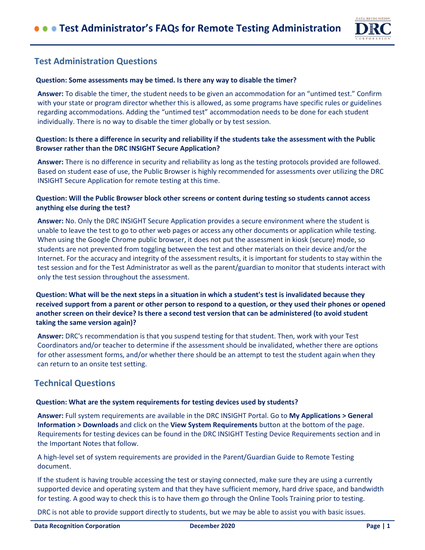

# **Test Administration Questions**

#### **Question: Some assessments may be timed. Is there any way to disable the timer?**

**Answer:** To disable the timer, the student needs to be given an accommodation for an "untimed test." Confirm with your state or program director whether this is allowed, as some programs have specific rules or guidelines regarding accommodations. Adding the "untimed test" accommodation needs to be done for each student individually. There is no way to disable the timer globally or by test session.

## **Question: Is there a difference in security and reliability if the students take the assessment with the Public Browser rather than the DRC INSIGHT Secure Application?**

**Answer:** There is no difference in security and reliability as long as the testing protocols provided are followed. Based on student ease of use, the Public Browser is highly recommended for assessments over utilizing the DRC INSIGHT Secure Application for remote testing at this time.

## **Question: Will the Public Browser block other screens or content during testing so students cannot access anything else during the test?**

**Answer:** No. Only the DRC INSIGHT Secure Application provides a secure environment where the student is unable to leave the test to go to other web pages or access any other documents or application while testing. When using the Google Chrome public browser, it does not put the assessment in kiosk (secure) mode, so students are not prevented from toggling between the test and other materials on their device and/or the Internet. For the accuracy and integrity of the assessment results, it is important for students to stay within the test session and for the Test Administrator as well as the parent/guardian to monitor that students interact with only the test session throughout the assessment.

# **Question: What will be the next steps in a situation in which a student's test is invalidated because they received support from a parent or other person to respond to a question, or they used their phones or opened another screen on their device? Is there a second test version that can be administered (to avoid student taking the same version again)?**

**Answer:** DRC's recommendation is that you suspend testing for that student. Then, work with your Test Coordinators and/or teacher to determine if the assessment should be invalidated, whether there are options for other assessment forms, and/or whether there should be an attempt to test the student again when they can return to an onsite test setting.

# **Technical Questions**

#### **Question: What are the system requirements for testing devices used by students?**

**Answer:** Full system requirements are available in the DRC INSIGHT Portal. Go to **My Applications > General Information > Downloads** and click on the **View System Requirements** button at the bottom of the page. Requirements for testing devices can be found in the DRC INSIGHT Testing Device Requirements section and in the Important Notes that follow.

A high-level set of system requirements are provided in the Parent/Guardian Guide to Remote Testing document.

If the student is having trouble accessing the test or staying connected, make sure they are using a currently supported device and operating system and that they have sufficient memory, hard drive space, and bandwidth for testing. A good way to check this is to have them go through the Online Tools Training prior to testing.

DRC is not able to provide support directly to students, but we may be able to assist you with basic issues.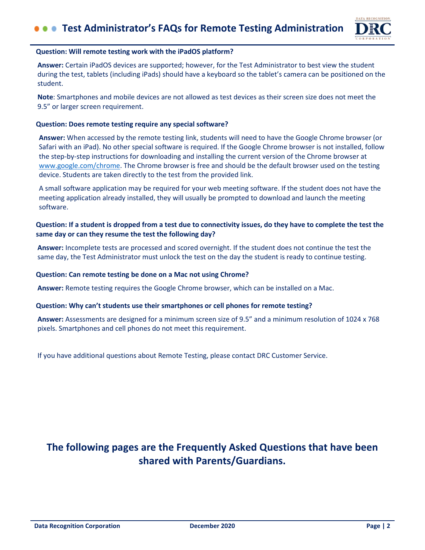

#### **Question: Will remote testing work with the iPadOS platform?**

**Answer:** Certain iPadOS devices are supported; however, for the Test Administrator to best view the student during the test, tablets (including iPads) should have a keyboard so the tablet's camera can be positioned on the student.

**Note**: Smartphones and mobile devices are not allowed as test devices as their screen size does not meet the 9.5" or larger screen requirement.

#### **Question: Does remote testing require any special software?**

**Answer:** When accessed by the remote testing link, students will need to have the Google Chrome browser (or Safari with an iPad). No other special software is required. If the Google Chrome browser is not installed, follow the step-by-step instructions for downloading and installing the current version of the Chrome browser at [www.google.com/chrome.](https://www.google.com/chrome/) The Chrome browser is free and should be the default browser used on the testing device. Students are taken directly to the test from the provided link.

A small software application may be required for your web meeting software. If the student does not have the meeting application already installed, they will usually be prompted to download and launch the meeting software.

## **Question: If a student is dropped from a test due to connectivity issues, do they have to complete the test the same day or can they resume the test the following day?**

**Answer:** Incomplete tests are processed and scored overnight. If the student does not continue the test the same day, the Test Administrator must unlock the test on the day the student is ready to continue testing.

#### **Question: Can remote testing be done on a Mac not using Chrome?**

**Answer:** Remote testing requires the Google Chrome browser, which can be installed on a Mac.

#### **Question: Why can't students use their smartphones or cell phones for remote testing?**

**Answer:** Assessments are designed for a minimum screen size of 9.5" and a minimum resolution of 1024 x 768 pixels. Smartphones and cell phones do not meet this requirement.

If you have additional questions about Remote Testing, please contact DRC Customer Service.

# **The following pages are the Frequently Asked Questions that have been shared with Parents/Guardians.**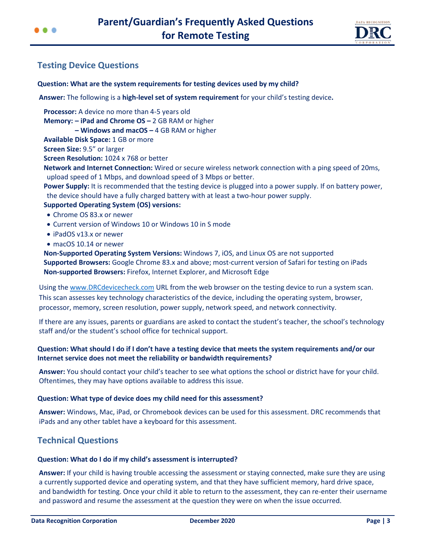



# **Testing Device Questions**

# **Question: What are the system requirements for testing devices used by my child?**

**Answer:** The following is a **high-level set of system requirement** for your child's testing device**.** 

**Processor:** A device no more than 4-5 years old **Memory: – iPad and Chrome OS –** 2 GB RAM or higher **– Windows and macOS –** 4 GB RAM or higher **Available Disk Space:** 1 GB or more **Screen Size:** 9.5" or larger **Screen Resolution:** 1024 x 768 or better

**Network and Internet Connection:** Wired or secure wireless network connection with a ping speed of 20ms, upload speed of 1 Mbps, and download speed of 3 Mbps or better.

**Power Supply:** It is recommended that the testing device is plugged into a power supply. If on battery power, the device should have a fully charged battery with at least a two-hour power supply.

## **Supported Operating System (OS) versions:**

- Chrome OS 83.x or newer
- Current version of Windows 10 or Windows 10 in S mode
- iPadOS v13.x or newer
- macOS 10.14 or newer

**Non-Supported Operating System Versions:** Windows 7, iOS, and Linux OS are not supported **Supported Browsers:** Google Chrome 83.x and above; most-current version of Safari for testing on iPads **Non-supported Browsers:** Firefox, Internet Explorer, and Microsoft Edge

Using the [www.DRCdevicecheck.com](http://www.drcdevicecheck.com/) URL from the web browser on the testing device to run a system scan. This scan assesses key technology characteristics of the device, including the operating system, browser, processor, memory, screen resolution, power supply, network speed, and network connectivity.

If there are any issues, parents or guardians are asked to contact the student's teacher, the school's technology staff and/or the student's school office for technical support.

# **Question: What should I do if I don't have a testing device that meets the system requirements and/or our Internet service does not meet the reliability or bandwidth requirements?**

**Answer:** You should contact your child's teacher to see what options the school or district have for your child. Oftentimes, they may have options available to address this issue.

## **Question: What type of device does my child need for this assessment?**

**Answer:** Windows, Mac, iPad, or Chromebook devices can be used for this assessment. DRC recommends that iPads and any other tablet have a keyboard for this assessment.

# **Technical Questions**

## **Question: What do I do if my child's assessment is interrupted?**

**Answer:** If your child is having trouble accessing the assessment or staying connected, make sure they are using a currently supported device and operating system, and that they have sufficient memory, hard drive space, and bandwidth for testing. Once your child it able to return to the assessment, they can re-enter their username and password and resume the assessment at the question they were on when the issue occurred.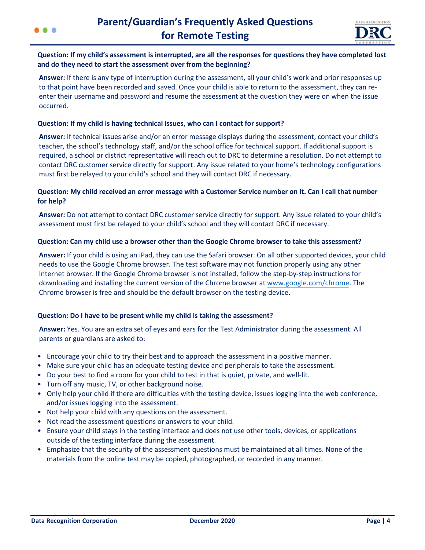



## **Question: If my child's assessment is interrupted, are all the responses for questions they have completed lost and do they need to start the assessment over from the beginning?**

**Answer:** If there is any type of interruption during the assessment, all your child's work and prior responses up to that point have been recorded and saved. Once your child is able to return to the assessment, they can reenter their username and password and resume the assessment at the question they were on when the issue occurred.

#### **Question: If my child is having technical issues, who can I contact for support?**

**Answer:** If technical issues arise and/or an error message displays during the assessment, contact your child's teacher, the school's technology staff, and/or the school office for technical support. If additional support is required, a school or district representative will reach out to DRC to determine a resolution. Do not attempt to contact DRC customer service directly for support. Any issue related to your home's technology configurations must first be relayed to your child's school and they will contact DRC if necessary.

## **Question: My child received an error message with a Customer Service number on it. Can I call that number for help?**

**Answer:** Do not attempt to contact DRC customer service directly for support. Any issue related to your child's assessment must first be relayed to your child's school and they will contact DRC if necessary.

#### **Question: Can my child use a browser other than the Google Chrome browser to take this assessment?**

**Answer:** If your child is using an iPad, they can use the Safari browser. On all other supported devices, your child needs to use the Google Chrome browser. The test software may not function properly using any other Internet browser. If the Google Chrome browser is not installed, follow the step-by-step instructions for downloading and installing the current version of the Chrome browser at [www.google.com/chrome.](https://www.google.com/chrome/) The Chrome browser is free and should be the default browser on the testing device.

## **Question: Do I have to be present while my child is taking the assessment?**

**Answer:** Yes. You are an extra set of eyes and ears for the Test Administrator during the assessment. All parents or guardians are asked to:

- Encourage your child to try their best and to approach the assessment in a positive manner.
- Make sure your child has an adequate testing device and peripherals to take the assessment.
- Do your best to find a room for your child to test in that is quiet, private, and well-lit.
- Turn off any music, TV, or other background noise.
- Only help your child if there are difficulties with the testing device, issues logging into the web conference, [and/or issues logging into the assessment.](https://chrome.google.com/webstore/category/extensions)
- Not help your child with any questions on the assessment.
- Not read the assessment questions or answers to your child.
- Ensure your child stays in the testing interface and does not use other tools, devices, or applications outside of the testing interface during the assessment.
- Emphasize that the security of the assessment questions must be maintained at all times. None of the materials from the online test may be copied, photographed, or recorded in any manner.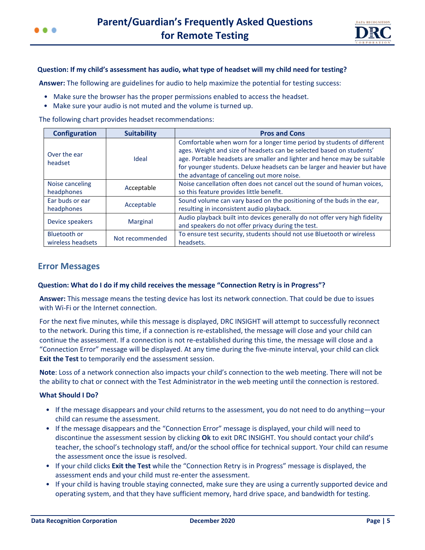

#### **Question: If my child's assessment has audio, what type of headset will my child need for testing?**

**Answer:** The following are guidelines for audio to help maximize the potential for testing success:

- Make sure the browser has the proper permissions enabled to access the headset.
- Make sure your audio is not muted and the volume is turned up.

The following chart provides headset recommendations:

| <b>Configuration</b>                     | <b>Suitability</b> | <b>Pros and Cons</b>                                                                                                                                                                                                                                                                                                                                  |
|------------------------------------------|--------------------|-------------------------------------------------------------------------------------------------------------------------------------------------------------------------------------------------------------------------------------------------------------------------------------------------------------------------------------------------------|
| Over the ear<br>headset                  | Ideal              | Comfortable when worn for a longer time period by students of different<br>ages. Weight and size of headsets can be selected based on students'<br>age. Portable headsets are smaller and lighter and hence may be suitable<br>for younger students. Deluxe headsets can be larger and heavier but have<br>the advantage of canceling out more noise. |
| Noise canceling<br>headphones            | Acceptable         | Noise cancellation often does not cancel out the sound of human voices,<br>so this feature provides little benefit.                                                                                                                                                                                                                                   |
| Ear buds or ear<br>headphones            | Acceptable         | Sound volume can vary based on the positioning of the buds in the ear,<br>resulting in inconsistent audio playback.                                                                                                                                                                                                                                   |
| Device speakers                          | <b>Marginal</b>    | Audio playback built into devices generally do not offer very high fidelity<br>and speakers do not offer privacy during the test.                                                                                                                                                                                                                     |
| <b>Bluetooth or</b><br>wireless headsets | Not recommended    | To ensure test security, students should not use Bluetooth or wireless<br>headsets.                                                                                                                                                                                                                                                                   |

# **Error Messages**

#### **Question: What do I do if my child receives the message "Connection Retry is in Progress"?**

**Answer:** This message means the testing device has lost its network connection. That could be due to issues with Wi-Fi or the Internet connection.

For the next five minutes, while this message is displayed, DRC INSIGHT will attempt to successfully reconnect to the network. During this time, if a connection is re-established, the message will close and your child can continue the assessment. If a connection is not re-established during this time, the message will close and a "Connection Error" message will be displayed. At any time during the five-minute interval, your child can click **Exit the Test** to temporarily end the assessment session.

**Note**: Loss of a network connection also impacts your child's connection to the web meeting. There will not be the ability to chat or connect with the Test Administrator in the web meeting until the connection is restored.

#### **What Should I Do?**

- If the message disappears and your child returns to the assessment, you do not need to do anything—your child can resume the assessment.
- If the message disappears and the "Connection Error" message is displayed, your child will need to discontinue the assessment session by clicking **Ok** to exit DRC INSIGHT. You should contact your child's teacher, the school's technology staff, and/or the school office for technical support. Your child can resume the assessment once the issue is resolved.
- If your child clicks **Exit the Test** while the "Connection Retry is in Progress" message is displayed, the assessment ends and your child must re-enter the assessment.
- If your child is having trouble staying connected, make sure they are using a currently supported device and operating system, and that they have sufficient memory, hard drive space, and bandwidth for testing.